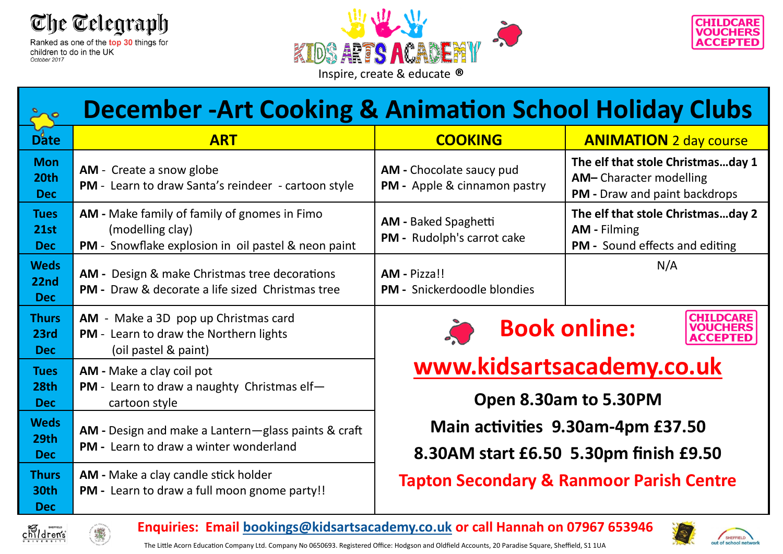

children to do in the UK October 2017





| <b>December -Art Cooking &amp; Animation School Holiday Clubs</b> |                                                                                                                         |                                                                               |                                                                                                            |
|-------------------------------------------------------------------|-------------------------------------------------------------------------------------------------------------------------|-------------------------------------------------------------------------------|------------------------------------------------------------------------------------------------------------|
| Date                                                              | <b>ART</b>                                                                                                              | <b>COOKING</b>                                                                | <b>ANIMATION</b> 2 day course                                                                              |
| <b>Mon</b><br>20th<br><b>Dec</b>                                  | <b>AM</b> - Create a snow globe<br>PM - Learn to draw Santa's reindeer - cartoon style                                  | AM - Chocolate saucy pud<br>PM - Apple & cinnamon pastry                      | The elf that stole Christmasday 1<br><b>AM-Character modelling</b><br><b>PM</b> - Draw and paint backdrops |
| <b>Tues</b><br>21st<br><b>Dec</b>                                 | AM - Make family of family of gnomes in Fimo<br>(modelling clay)<br>PM - Snowflake explosion in oil pastel & neon paint | <b>AM - Baked Spaghetti</b><br><b>PM</b> - Rudolph's carrot cake              | The elf that stole Christmasday 2<br><b>AM</b> - Filming<br>PM - Sound effects and editing                 |
| <b>Weds</b><br>22nd<br><b>Dec</b>                                 | AM - Design & make Christmas tree decorations<br><b>PM - Draw &amp; decorate a life sized Christmas tree</b>            | AM - Pizza!!<br><b>PM - Snickerdoodle blondies</b>                            | N/A                                                                                                        |
| <b>Thurs</b><br>23rd<br><b>Dec</b>                                | AM - Make a 3D pop up Christmas card<br><b>PM</b> - Learn to draw the Northern lights<br>(oil pastel & paint)           | <b>CHILDCARE</b><br><b>Book online:</b><br><b>VOUCHERS</b><br><b>ACCEPTED</b> |                                                                                                            |
| <b>Tues</b><br>28th<br><b>Dec</b>                                 | AM - Make a clay coil pot<br><b>PM</b> - Learn to draw a naughty Christmas elf-<br>cartoon style                        | www.kidsartsacademy.co.uk<br>Open 8.30am to 5.30PM                            |                                                                                                            |
| <b>Weds</b><br>29th<br><b>Dec</b>                                 | AM - Design and make a Lantern-glass paints & craft<br>PM - Learn to draw a winter wonderland                           | Main activities 9.30am-4pm £37.50<br>8.30AM start £6.50 5.30pm finish £9.50   |                                                                                                            |
| <b>Thurs</b><br>30th<br><b>Dec</b>                                | AM - Make a clay candle stick holder<br>PM - Learn to draw a full moon gnome party!!                                    | <b>Tapton Secondary &amp; Ranmoor Parish Centre</b>                           |                                                                                                            |



**Enquiries: Email [bookings@kidsartsacademy.co.uk](mailto:bookings@kidsartsacademy.co.uk) or call Hannah on 07967 653946**



SHEFFIELD

The Little Acorn Education Company Ltd. Company No 0650693. Registered Office: Hodgson and Oldfield Accounts, 20 Paradise Square, Sheffield, S1 1UA